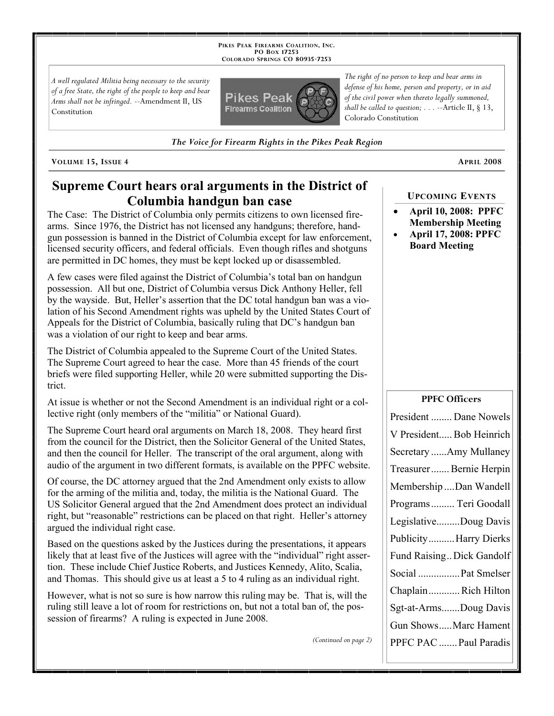**PIKES PEAK FIREARMS COALITION, INC. PO BOX 17253 COLORADO SPRINGS CO 80935 -7253**

*A well regulated Militia being necessary to the security of a free State, the right of the people to keep and bear Arms shall not be infringed.* --Amendment II, US Constitution



*The Voice for Firearm Rights in the Pikes Peak Region*

**VOLUME 15, ISSUE 4 APRIL 2008**

# **Supreme Court hears oral arguments in the District of Columbia handgun ban case**

The Case: The District of Columbia only permits citizens to own licensed firearms. Since 1976, the District has not licensed any handguns; therefore, handgun possession is banned in the District of Columbia except for law enforcement, licensed security officers, and federal officials. Even though rifles and shotguns are permitted in DC homes, they must be kept locked up or disassembled.

A few cases were filed against the District of Columbia's total ban on handgun possession. All but one, District of Columbia versus Dick Anthony Heller, fell by the wayside. But, Heller's assertion that the DC total handgun ban was a violation of his Second Amendment rights was upheld by the United States Court of Appeals for the District of Columbia, basically ruling that DC's handgun ban was a violation of our right to keep and bear arms.

The District of Columbia appealed to the Supreme Court of the United States. The Supreme Court agreed to hear the case. More than 45 friends of the court briefs were filed supporting Heller, while 20 were submitted supporting the District.

At issue is whether or not the Second Amendment is an individual right or a collective right (only members of the "militia" or National Guard).

The Supreme Court heard oral arguments on March 18, 2008. They heard first from the council for the District, then the Solicitor General of the United States, and then the council for Heller. The transcript of the oral argument, along with audio of the argument in two different formats, is available on the PPFC website.

Of course, the DC attorney argued that the 2nd Amendment only exists to allow for the arming of the militia and, today, the militia is the National Guard. The US Solicitor General argued that the 2nd Amendment does protect an individual right, but "reasonable" restrictions can be placed on that right. Heller's attorney argued the individual right case.

Based on the questions asked by the Justices during the presentations, it appears likely that at least five of the Justices will agree with the "individual" right assertion. These include Chief Justice Roberts, and Justices Kennedy, Alito, Scalia, and Thomas. This should give us at least a 5 to 4 ruling as an individual right.

However, what is not so sure is how narrow this ruling may be. That is, will the ruling still leave a lot of room for restrictions on, but not a total ban of, the possession of firearms? A ruling is expected in June 2008.

*(Continued on page 2)*

*The right of no person to keep and bear arms in defense of his home, person and property, or in aid of the civil power when thereto legally summoned, shall be called to question; . . .* --Article II, § 13, Colorado Constitution

### **UPCOMING EVENTS**

- **April 10, 2008: PPFC Membership Meeting**
- **April 17, 2008: PPFC Board Meeting**

#### **PPFC Officers**

| President  Dane Nowels    |
|---------------------------|
| V President Bob Heinrich  |
| Secretary Amy Mullaney    |
| Treasurer Bernie Herpin   |
| Membership Dan Wandell    |
| Programs  Teri Goodall    |
| LegislativeDoug Davis     |
| PublicityHarry Dierks     |
| Fund Raising Dick Gandolf |
| Social  Pat Smelser       |
| ChaplainRich Hilton       |
| Sgt-at-ArmsDoug Davis     |
| Gun ShowsMarc Hament      |
| PPFC PAC  Paul Paradis    |